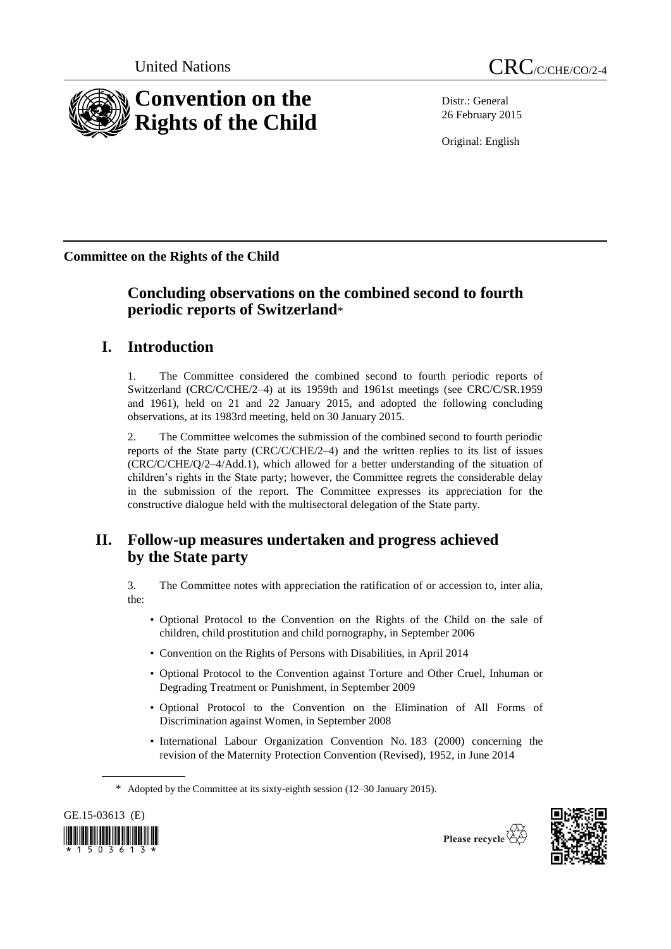

Distr.: General 26 February 2015

Original: English

**Committee on the Rights of the Child**

# **Concluding observations on the combined second to fourth periodic reports of Switzerland**\*

# **I. Introduction**

1. The Committee considered the combined second to fourth periodic reports of Switzerland (CRC/C/CHE/2–4) at its 1959th and 1961st meetings (see CRC/C/SR.1959 and 1961), held on 21 and 22 January 2015, and adopted the following concluding observations, at its 1983rd meeting, held on 30 January 2015.

2. The Committee welcomes the submission of the combined second to fourth periodic reports of the State party (CRC/C/CHE/2–4) and the written replies to its list of issues (CRC/C/CHE/Q/2–4/Add.1), which allowed for a better understanding of the situation of children's rights in the State party; however, the Committee regrets the considerable delay in the submission of the report. The Committee expresses its appreciation for the constructive dialogue held with the multisectoral delegation of the State party.

# **II. Follow-up measures undertaken and progress achieved by the State party**

3. The Committee notes with appreciation the ratification of or accession to, inter alia, the:

- Optional Protocol to the Convention on the Rights of the Child on the sale of children, child prostitution and child pornography, in September 2006
- Convention on the Rights of Persons with Disabilities, in April 2014
- Optional Protocol to the Convention against Torture and Other Cruel, Inhuman or Degrading Treatment or Punishment, in September 2009
- Optional Protocol to the Convention on the Elimination of All Forms of Discrimination against Women, in September 2008
- International Labour Organization Convention No. 183 (2000) concerning the revision of the Maternity Protection Convention (Revised), 1952, in June 2014

\* Adopted by the Committee at its sixty-eighth session (12–30 January 2015).





Please recycle  $\overline{\mathbb{Q}}$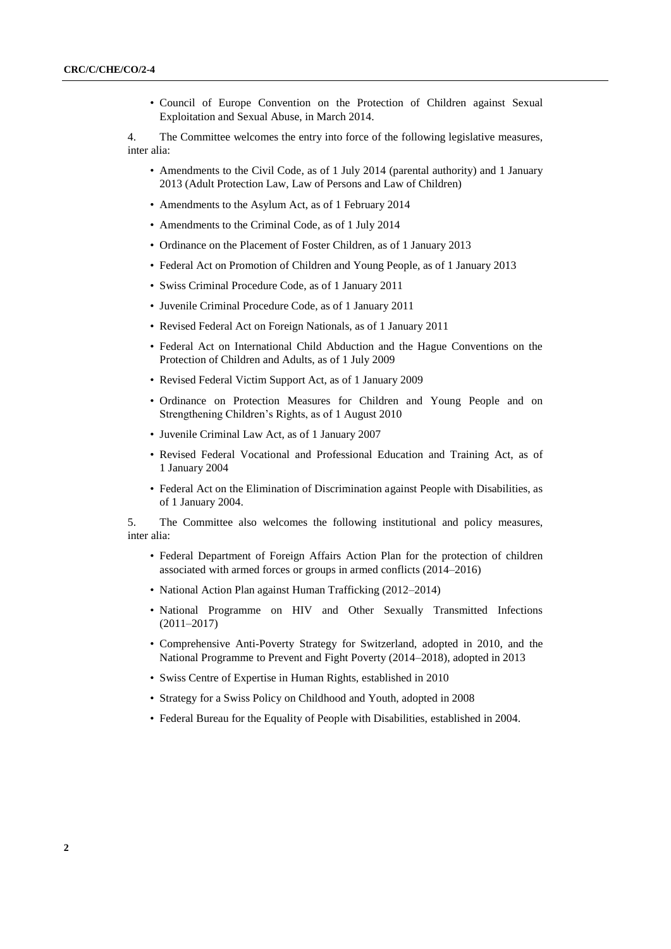• Council of Europe Convention on the Protection of Children against Sexual Exploitation and Sexual Abuse, in March 2014.

4. The Committee welcomes the entry into force of the following legislative measures, inter alia:

- Amendments to the Civil Code, as of 1 July 2014 (parental authority) and 1 January 2013 (Adult Protection Law, Law of Persons and Law of Children)
- Amendments to the Asylum Act, as of 1 February 2014
- Amendments to the Criminal Code, as of 1 July 2014
- Ordinance on the Placement of Foster Children, as of 1 January 2013
- Federal Act on Promotion of Children and Young People, as of 1 January 2013
- Swiss Criminal Procedure Code, as of 1 January 2011
- Juvenile Criminal Procedure Code, as of 1 January 2011
- Revised Federal Act on Foreign Nationals, as of 1 January 2011
- Federal Act on International Child Abduction and the Hague Conventions on the Protection of Children and Adults, as of 1 July 2009
- Revised Federal Victim Support Act, as of 1 January 2009
- Ordinance on Protection Measures for Children and Young People and on Strengthening Children's Rights, as of 1 August 2010
- Juvenile Criminal Law Act, as of 1 January 2007
- Revised Federal Vocational and Professional Education and Training Act, as of 1 January 2004
- Federal Act on the Elimination of Discrimination against People with Disabilities, as of 1 January 2004.

5. The Committee also welcomes the following institutional and policy measures, inter alia:

- Federal Department of Foreign Affairs Action Plan for the protection of children associated with armed forces or groups in armed conflicts (2014–2016)
- National Action Plan against Human Trafficking (2012–2014)
- National Programme on HIV and Other Sexually Transmitted Infections  $(2011 - 2017)$
- Comprehensive Anti-Poverty Strategy for Switzerland, adopted in 2010, and the National Programme to Prevent and Fight Poverty (2014–2018), adopted in 2013
- Swiss Centre of Expertise in Human Rights, established in 2010
- Strategy for a Swiss Policy on Childhood and Youth, adopted in 2008
- Federal Bureau for the Equality of People with Disabilities, established in 2004.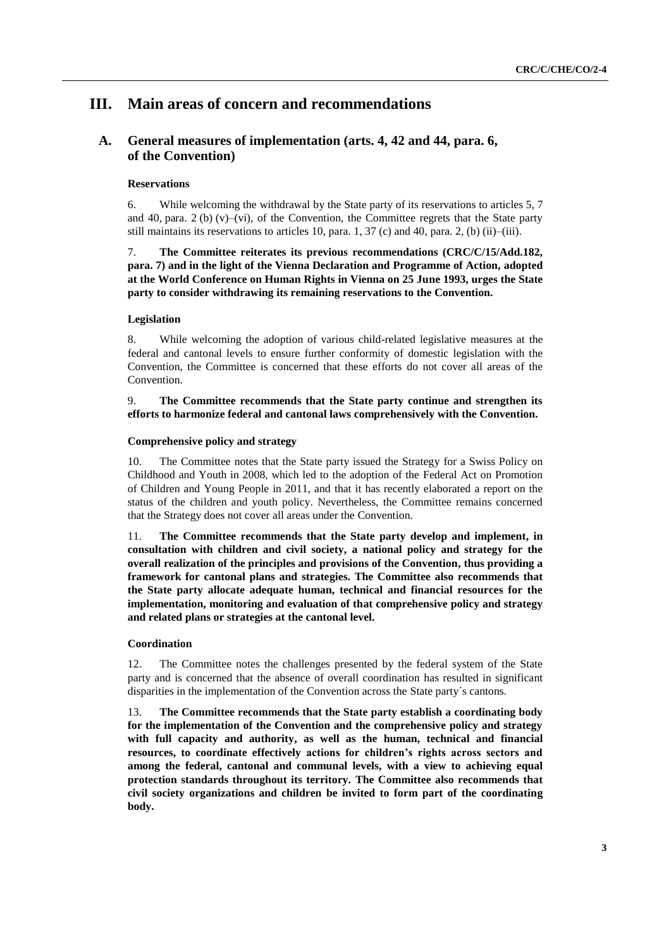# **III. Main areas of concern and recommendations**

# **A. General measures of implementation (arts. 4, 42 and 44, para. 6, of the Convention)**

# **Reservations**

6. While welcoming the withdrawal by the State party of its reservations to articles 5, 7 and 40, para.  $2$  (b) (v)–(vi), of the Convention, the Committee regrets that the State party still maintains its reservations to articles 10, para. 1,  $37$  (c) and 40, para. 2, (b) (ii)–(iii).

7. **The Committee reiterates its previous recommendations (CRC/C/15/Add.182, para. 7) and in the light of the Vienna Declaration and Programme of Action, adopted at the World Conference on Human Rights in Vienna on 25 June 1993, urges the State party to consider withdrawing its remaining reservations to the Convention.**

### **Legislation**

8. While welcoming the adoption of various child-related legislative measures at the federal and cantonal levels to ensure further conformity of domestic legislation with the Convention, the Committee is concerned that these efforts do not cover all areas of the Convention.

# 9. **The Committee recommends that the State party continue and strengthen its efforts to harmonize federal and cantonal laws comprehensively with the Convention.**

# **Comprehensive policy and strategy**

10. The Committee notes that the State party issued the Strategy for a Swiss Policy on Childhood and Youth in 2008, which led to the adoption of the Federal Act on Promotion of Children and Young People in 2011, and that it has recently elaborated a report on the status of the children and youth policy. Nevertheless, the Committee remains concerned that the Strategy does not cover all areas under the Convention.

11. **The Committee recommends that the State party develop and implement, in consultation with children and civil society, a national policy and strategy for the overall realization of the principles and provisions of the Convention, thus providing a framework for cantonal plans and strategies. The Committee also recommends that the State party allocate adequate human, technical and financial resources for the implementation, monitoring and evaluation of that comprehensive policy and strategy and related plans or strategies at the cantonal level.**

#### **Coordination**

12. The Committee notes the challenges presented by the federal system of the State party and is concerned that the absence of overall coordination has resulted in significant disparities in the implementation of the Convention across the State party´s cantons.

13. **The Committee recommends that the State party establish a coordinating body for the implementation of the Convention and the comprehensive policy and strategy with full capacity and authority, as well as the human, technical and financial resources, to coordinate effectively actions for children's rights across sectors and among the federal, cantonal and communal levels, with a view to achieving equal protection standards throughout its territory. The Committee also recommends that civil society organizations and children be invited to form part of the coordinating body.**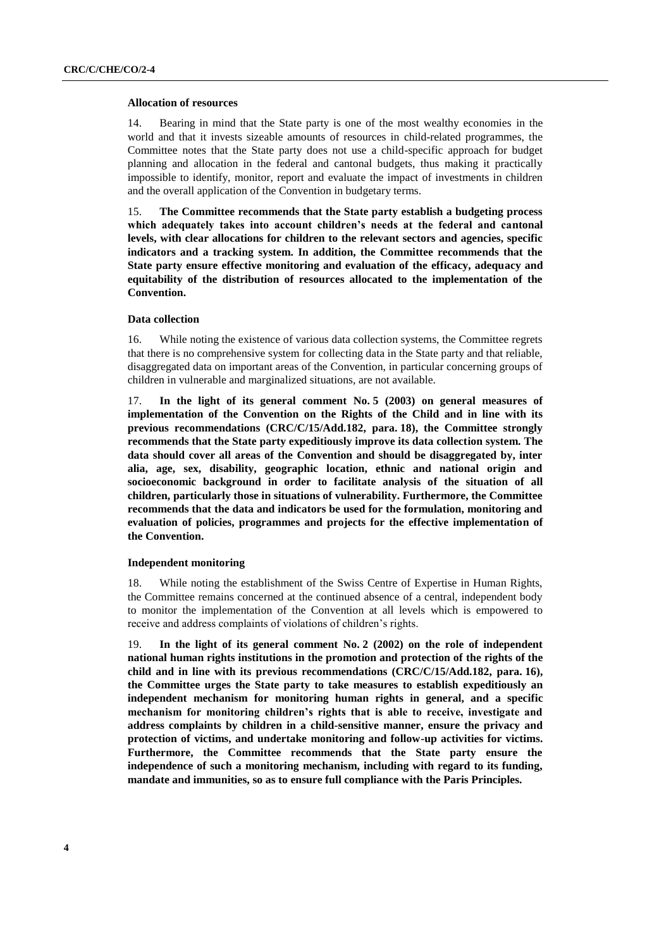#### **Allocation of resources**

14. Bearing in mind that the State party is one of the most wealthy economies in the world and that it invests sizeable amounts of resources in child-related programmes, the Committee notes that the State party does not use a child-specific approach for budget planning and allocation in the federal and cantonal budgets, thus making it practically impossible to identify, monitor, report and evaluate the impact of investments in children and the overall application of the Convention in budgetary terms.

15. **The Committee recommends that the State party establish a budgeting process which adequately takes into account children's needs at the federal and cantonal levels, with clear allocations for children to the relevant sectors and agencies, specific indicators and a tracking system. In addition, the Committee recommends that the State party ensure effective monitoring and evaluation of the efficacy, adequacy and equitability of the distribution of resources allocated to the implementation of the Convention.**

#### **Data collection**

16. While noting the existence of various data collection systems, the Committee regrets that there is no comprehensive system for collecting data in the State party and that reliable, disaggregated data on important areas of the Convention, in particular concerning groups of children in vulnerable and marginalized situations, are not available.

17. **In the light of its general comment No. 5 (2003) on general measures of implementation of the Convention on the Rights of the Child and in line with its previous recommendations (CRC/C/15/Add.182, para. 18), the Committee strongly recommends that the State party expeditiously improve its data collection system. The data should cover all areas of the Convention and should be disaggregated by, inter alia, age, sex, disability, geographic location, ethnic and national origin and socioeconomic background in order to facilitate analysis of the situation of all children, particularly those in situations of vulnerability. Furthermore, the Committee recommends that the data and indicators be used for the formulation, monitoring and evaluation of policies, programmes and projects for the effective implementation of the Convention.** 

## **Independent monitoring**

18. While noting the establishment of the Swiss Centre of Expertise in Human Rights, the Committee remains concerned at the continued absence of a central, independent body to monitor the implementation of the Convention at all levels which is empowered to receive and address complaints of violations of children's rights.

19. **In the light of its general comment No. 2 (2002) on the role of independent national human rights institutions in the promotion and protection of the rights of the child and in line with its previous recommendations (CRC/C/15/Add.182, para. 16), the Committee urges the State party to take measures to establish expeditiously an independent mechanism for monitoring human rights in general, and a specific mechanism for monitoring children's rights that is able to receive, investigate and address complaints by children in a child-sensitive manner, ensure the privacy and protection of victims, and undertake monitoring and follow-up activities for victims. Furthermore, the Committee recommends that the State party ensure the independence of such a monitoring mechanism, including with regard to its funding, mandate and immunities, so as to ensure full compliance with the Paris Principles.**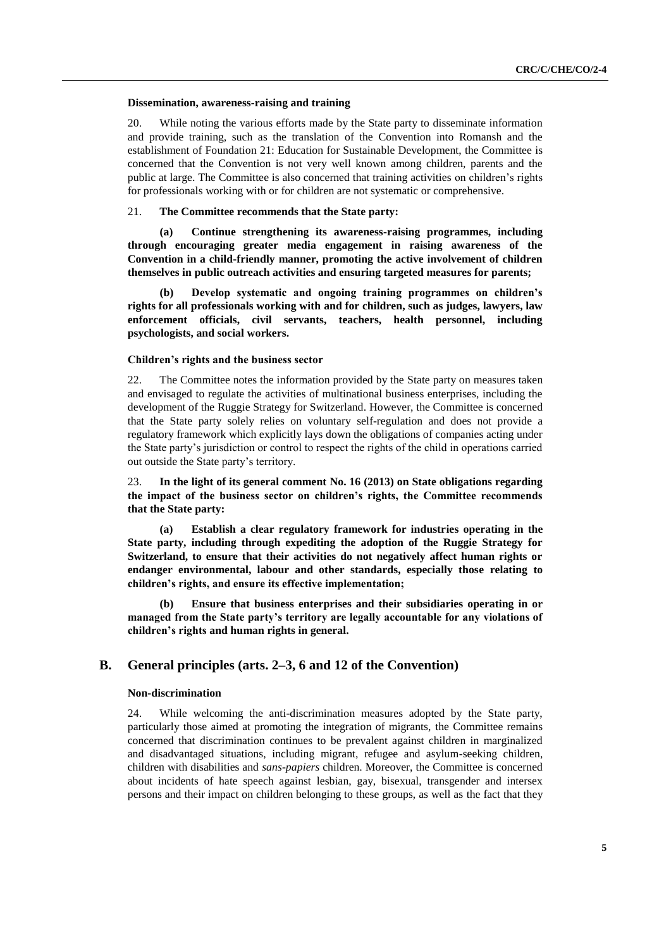#### **Dissemination, awareness-raising and training**

20. While noting the various efforts made by the State party to disseminate information and provide training, such as the translation of the Convention into Romansh and the establishment of Foundation 21: Education for Sustainable Development, the Committee is concerned that the Convention is not very well known among children, parents and the public at large. The Committee is also concerned that training activities on children's rights for professionals working with or for children are not systematic or comprehensive.

## 21. **The Committee recommends that the State party:**

**(a) Continue strengthening its awareness-raising programmes, including through encouraging greater media engagement in raising awareness of the Convention in a child-friendly manner, promoting the active involvement of children themselves in public outreach activities and ensuring targeted measures for parents;** 

**(b) Develop systematic and ongoing training programmes on children's rights for all professionals working with and for children, such as judges, lawyers, law enforcement officials, civil servants, teachers, health personnel, including psychologists, and social workers.**

#### **Children's rights and the business sector**

22. The Committee notes the information provided by the State party on measures taken and envisaged to regulate the activities of multinational business enterprises, including the development of the Ruggie Strategy for Switzerland. However, the Committee is concerned that the State party solely relies on voluntary self-regulation and does not provide a regulatory framework which explicitly lays down the obligations of companies acting under the State party's jurisdiction or control to respect the rights of the child in operations carried out outside the State party's territory.

23. **In the light of its general comment No. 16 (2013) on State obligations regarding the impact of the business sector on children's rights, the Committee recommends that the State party:**

**(a) Establish a clear regulatory framework for industries operating in the State party, including through expediting the adoption of the Ruggie Strategy for Switzerland, to ensure that their activities do not negatively affect human rights or endanger environmental, labour and other standards, especially those relating to children's rights, and ensure its effective implementation;** 

**(b) Ensure that business enterprises and their subsidiaries operating in or managed from the State party's territory are legally accountable for any violations of children's rights and human rights in general.**

# **B. General principles (arts. 2–3, 6 and 12 of the Convention)**

#### **Non-discrimination**

24. While welcoming the anti-discrimination measures adopted by the State party, particularly those aimed at promoting the integration of migrants, the Committee remains concerned that discrimination continues to be prevalent against children in marginalized and disadvantaged situations, including migrant, refugee and asylum-seeking children, children with disabilities and *sans-papiers* children. Moreover, the Committee is concerned about incidents of hate speech against lesbian, gay, bisexual, transgender and intersex persons and their impact on children belonging to these groups, as well as the fact that they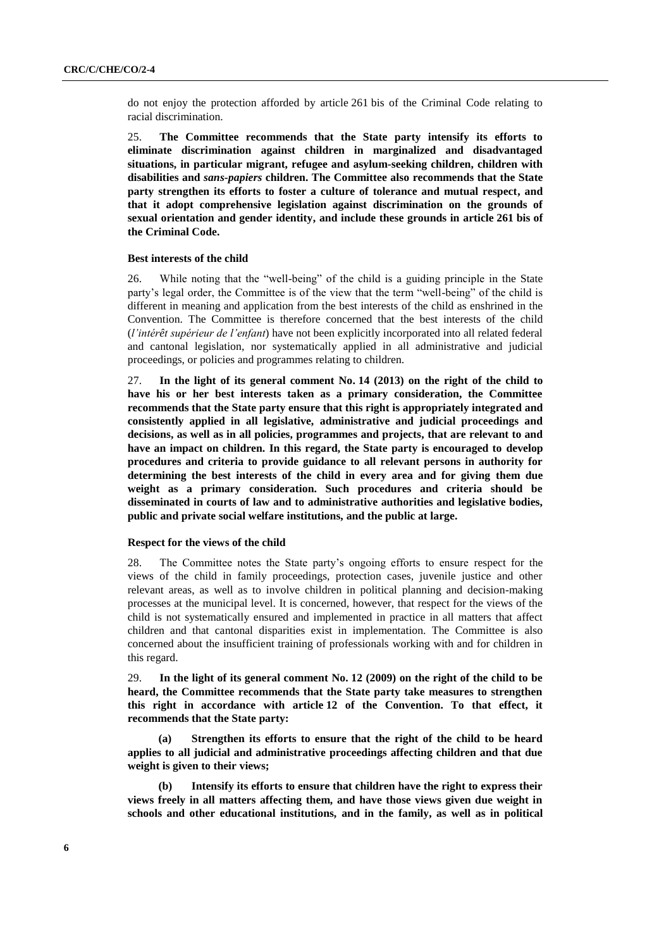do not enjoy the protection afforded by article 261 bis of the Criminal Code relating to racial discrimination.

25. **The Committee recommends that the State party intensify its efforts to eliminate discrimination against children in marginalized and disadvantaged situations, in particular migrant, refugee and asylum-seeking children, children with disabilities and** *sans-papiers* **children. The Committee also recommends that the State party strengthen its efforts to foster a culture of tolerance and mutual respect, and that it adopt comprehensive legislation against discrimination on the grounds of sexual orientation and gender identity, and include these grounds in article 261 bis of the Criminal Code.**

#### **Best interests of the child**

26. While noting that the "well-being" of the child is a guiding principle in the State party's legal order, the Committee is of the view that the term "well-being" of the child is different in meaning and application from the best interests of the child as enshrined in the Convention. The Committee is therefore concerned that the best interests of the child (*l'intérêt supérieur de l'enfant*) have not been explicitly incorporated into all related federal and cantonal legislation, nor systematically applied in all administrative and judicial proceedings, or policies and programmes relating to children.

27. **In the light of its general comment No. 14 (2013) on the right of the child to have his or her best interests taken as a primary consideration, the Committee recommends that the State party ensure that this right is appropriately integrated and consistently applied in all legislative, administrative and judicial proceedings and decisions, as well as in all policies, programmes and projects, that are relevant to and have an impact on children. In this regard, the State party is encouraged to develop procedures and criteria to provide guidance to all relevant persons in authority for determining the best interests of the child in every area and for giving them due weight as a primary consideration. Such procedures and criteria should be disseminated in courts of law and to administrative authorities and legislative bodies, public and private social welfare institutions, and the public at large.**

# **Respect for the views of the child**

28. The Committee notes the State party's ongoing efforts to ensure respect for the views of the child in family proceedings, protection cases, juvenile justice and other relevant areas, as well as to involve children in political planning and decision-making processes at the municipal level. It is concerned, however, that respect for the views of the child is not systematically ensured and implemented in practice in all matters that affect children and that cantonal disparities exist in implementation. The Committee is also concerned about the insufficient training of professionals working with and for children in this regard.

29. **In the light of its general comment No. 12 (2009) on the right of the child to be heard, the Committee recommends that the State party take measures to strengthen this right in accordance with article 12 of the Convention. To that effect, it recommends that the State party:** 

**(a) Strengthen its efforts to ensure that the right of the child to be heard applies to all judicial and administrative proceedings affecting children and that due weight is given to their views;** 

**(b) Intensify its efforts to ensure that children have the right to express their views freely in all matters affecting them, and have those views given due weight in schools and other educational institutions, and in the family, as well as in political**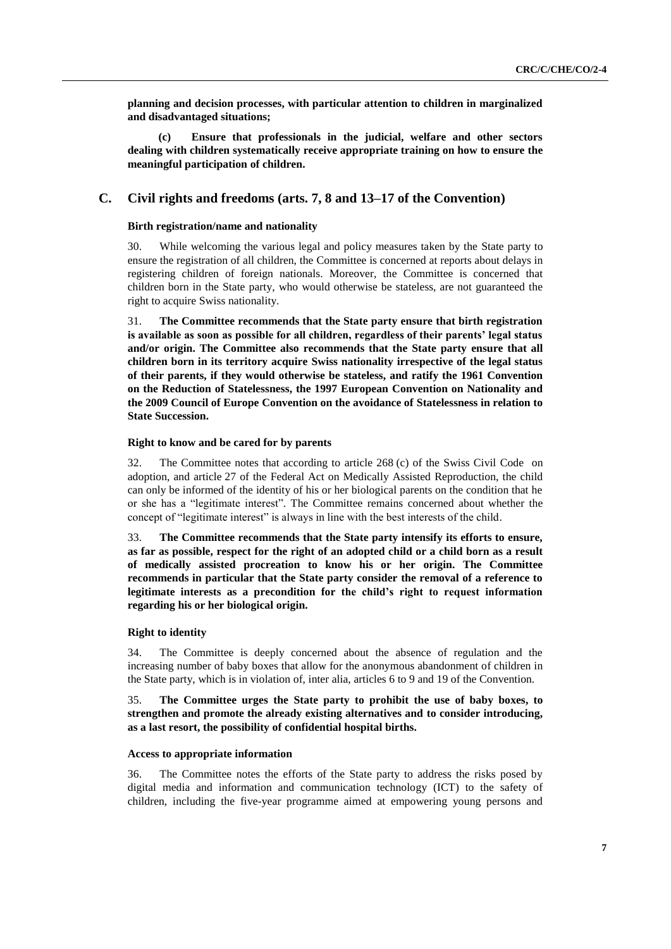**planning and decision processes, with particular attention to children in marginalized and disadvantaged situations;** 

**(c) Ensure that professionals in the judicial, welfare and other sectors dealing with children systematically receive appropriate training on how to ensure the meaningful participation of children.**

# **C. Civil rights and freedoms (arts. 7, 8 and 13–17 of the Convention)**

### **Birth registration/name and nationality**

30. While welcoming the various legal and policy measures taken by the State party to ensure the registration of all children, the Committee is concerned at reports about delays in registering children of foreign nationals. Moreover, the Committee is concerned that children born in the State party, who would otherwise be stateless, are not guaranteed the right to acquire Swiss nationality.

31. **The Committee recommends that the State party ensure that birth registration is available as soon as possible for all children, regardless of their parents' legal status and/or origin. The Committee also recommends that the State party ensure that all children born in its territory acquire Swiss nationality irrespective of the legal status of their parents, if they would otherwise be stateless, and ratify the 1961 Convention on the Reduction of Statelessness, the 1997 European Convention on Nationality and the 2009 Council of Europe Convention on the avoidance of Statelessness in relation to State Succession.**

#### **Right to know and be cared for by parents**

32. The Committee notes that according to article 268 (c) of the Swiss Civil Code on adoption, and article 27 of the Federal Act on Medically Assisted Reproduction, the child can only be informed of the identity of his or her biological parents on the condition that he or she has a "legitimate interest". The Committee remains concerned about whether the concept of "legitimate interest" is always in line with the best interests of the child.

33. **The Committee recommends that the State party intensify its efforts to ensure, as far as possible, respect for the right of an adopted child or a child born as a result of medically assisted procreation to know his or her origin. The Committee recommends in particular that the State party consider the removal of a reference to legitimate interests as a precondition for the child's right to request information regarding his or her biological origin.**

#### **Right to identity**

34. The Committee is deeply concerned about the absence of regulation and the increasing number of baby boxes that allow for the anonymous abandonment of children in the State party, which is in violation of, inter alia, articles 6 to 9 and 19 of the Convention.

# 35. **The Committee urges the State party to prohibit the use of baby boxes, to strengthen and promote the already existing alternatives and to consider introducing, as a last resort, the possibility of confidential hospital births.**

#### **Access to appropriate information**

36. The Committee notes the efforts of the State party to address the risks posed by digital media and information and communication technology (ICT) to the safety of children, including the five-year programme aimed at empowering young persons and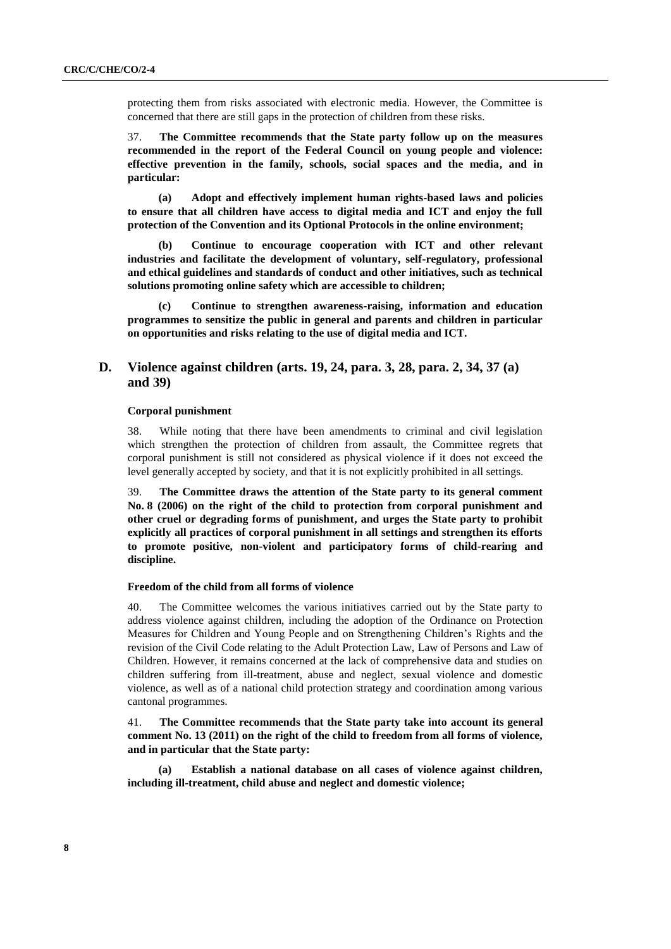protecting them from risks associated with electronic media. However, the Committee is concerned that there are still gaps in the protection of children from these risks.

37. **The Committee recommends that the State party follow up on the measures recommended in the report of the Federal Council on young people and violence: effective prevention in the family, schools, social spaces and the media, and in particular:**

**(a) Adopt and effectively implement human rights-based laws and policies to ensure that all children have access to digital media and ICT and enjoy the full protection of the Convention and its Optional Protocols in the online environment;**

**(b) Continue to encourage cooperation with ICT and other relevant industries and facilitate the development of voluntary, self-regulatory, professional and ethical guidelines and standards of conduct and other initiatives, such as technical solutions promoting online safety which are accessible to children;** 

**(c) Continue to strengthen awareness-raising, information and education programmes to sensitize the public in general and parents and children in particular on opportunities and risks relating to the use of digital media and ICT.**

# **D. Violence against children (arts. 19, 24, para. 3, 28, para. 2, 34, 37 (a) and 39)**

#### **Corporal punishment**

38. While noting that there have been amendments to criminal and civil legislation which strengthen the protection of children from assault, the Committee regrets that corporal punishment is still not considered as physical violence if it does not exceed the level generally accepted by society, and that it is not explicitly prohibited in all settings.

39. **The Committee draws the attention of the State party to its general comment No. 8 (2006) on [the right of the child to protection from corporal punishment and](http://tb.ohchr.org/default.aspx?Symbol=CRC/C/GC/8)  [other cruel or degrading forms of punishment,](http://tb.ohchr.org/default.aspx?Symbol=CRC/C/GC/8) and urges the State party to prohibit explicitly all practices of corporal punishment in all settings and strengthen its efforts to promote positive, non-violent and participatory forms of child-rearing and discipline.**

# **Freedom of the child from all forms of violence**

40. The Committee welcomes the various initiatives carried out by the State party to address violence against children, including the adoption of the Ordinance on Protection Measures for Children and Young People and on Strengthening Children's Rights and the revision of the Civil Code relating to the Adult Protection Law, Law of Persons and Law of Children. However, it remains concerned at the lack of comprehensive data and studies on children suffering from ill-treatment, abuse and neglect, sexual violence and domestic violence, as well as of a national child protection strategy and coordination among various cantonal programmes.

41. **The Committee recommends that the State party take into account its general comment No. 13 (2011) on the right of the child to freedom from all forms of violence, and in particular that the State party:**

**(a) Establish a national database on all cases of violence against children, including ill-treatment, child abuse and neglect and domestic violence;**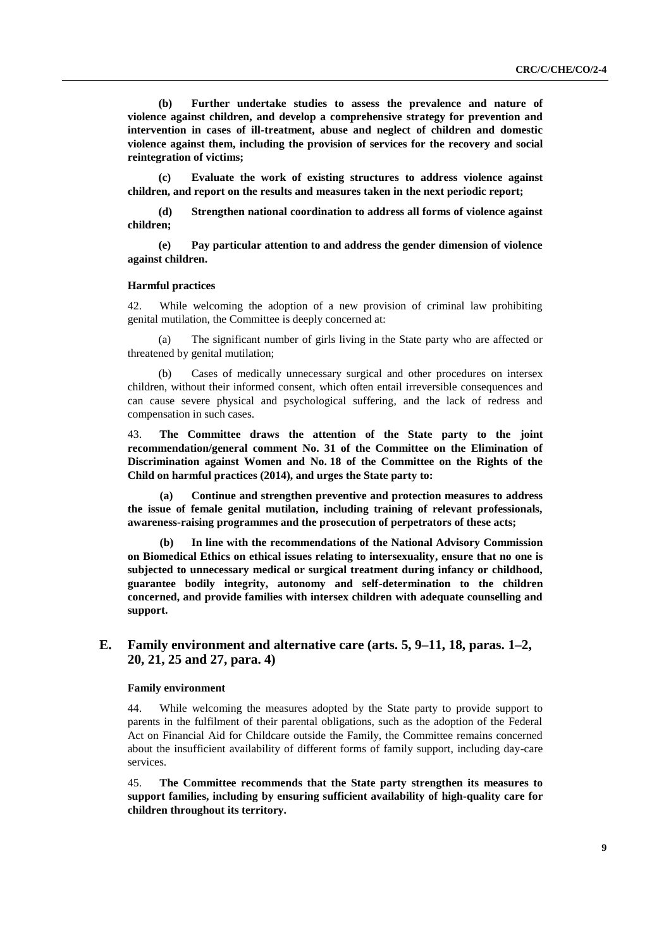**(b) Further undertake studies to assess the prevalence and nature of violence against children, and develop a comprehensive strategy for prevention and intervention in cases of ill-treatment, abuse and neglect of children and domestic violence against them, including the provision of services for the recovery and social reintegration of victims;** 

**(c) Evaluate the work of existing structures to address violence against children, and report on the results and measures taken in the next periodic report;**

**(d) Strengthen national coordination to address all forms of violence against children;** 

**(e) Pay particular attention to and address the gender dimension of violence against children.**

#### **Harmful practices**

42. While welcoming the adoption of a new provision of criminal law prohibiting genital mutilation, the Committee is deeply concerned at:

(a) The significant number of girls living in the State party who are affected or threatened by genital mutilation;

(b) Cases of medically unnecessary surgical and other procedures on intersex children, without their informed consent, which often entail irreversible consequences and can cause severe physical and psychological suffering, and the lack of redress and compensation in such cases.

43. **The Committee draws the attention of the State party to the joint recommendation/general comment No. 31 of the Committee on the Elimination of Discrimination against Women and No. 18 of the Committee on the Rights of the Child on harmful practices (2014), and urges the State party to:**

**(a) Continue and strengthen preventive and protection measures to address the issue of female genital mutilation, including training of relevant professionals, awareness-raising programmes and the prosecution of perpetrators of these acts;** 

**(b) In line with the recommendations of the National Advisory Commission on Biomedical Ethics on ethical issues relating to intersexuality, ensure that no one is subjected to unnecessary medical or surgical treatment during infancy or childhood, guarantee bodily integrity, autonomy and self-determination to the children concerned, and provide families with intersex children with adequate counselling and support.**

# **E. Family environment and alternative care (arts. 5, 9–11, 18, paras. 1–2, 20, 21, 25 and 27, para. 4)**

#### **Family environment**

44. While welcoming the measures adopted by the State party to provide support to parents in the fulfilment of their parental obligations, such as the adoption of the Federal Act on Financial Aid for Childcare outside the Family, the Committee remains concerned about the insufficient availability of different forms of family support, including day-care services.

45. **The Committee recommends that the State party strengthen its measures to support families, including by ensuring sufficient availability of high-quality care for children throughout its territory.**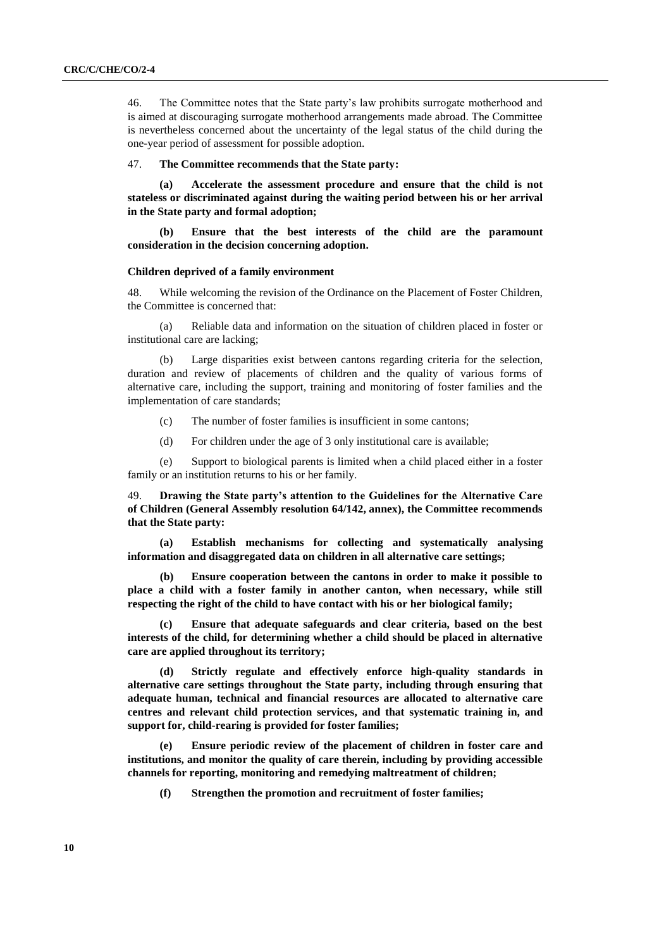46. The Committee notes that the State party's law prohibits surrogate motherhood and is aimed at discouraging surrogate motherhood arrangements made abroad. The Committee is nevertheless concerned about the uncertainty of the legal status of the child during the one-year period of assessment for possible adoption.

#### 47. **The Committee recommends that the State party:**

**(a) Accelerate the assessment procedure and ensure that the child is not stateless or discriminated against during the waiting period between his or her arrival in the State party and formal adoption;** 

**(b) Ensure that the best interests of the child are the paramount consideration in the decision concerning adoption.**

#### **Children deprived of a family environment**

48. While welcoming the revision of the Ordinance on the Placement of Foster Children, the Committee is concerned that:

(a) Reliable data and information on the situation of children placed in foster or institutional care are lacking;

(b) Large disparities exist between cantons regarding criteria for the selection, duration and review of placements of children and the quality of various forms of alternative care, including the support, training and monitoring of foster families and the implementation of care standards;

- (c) The number of foster families is insufficient in some cantons;
- (d) For children under the age of 3 only institutional care is available;

(e) Support to biological parents is limited when a child placed either in a foster family or an institution returns to his or her family.

49. **Drawing the State party's attention to the Guidelines for the Alternative Care of Children (General Assembly resolution 64/142, annex), the Committee recommends that the State party:**

**(a) Establish mechanisms for collecting and systematically analysing information and disaggregated data on children in all alternative care settings;**

**(b) Ensure cooperation between the cantons in order to make it possible to place a child with a foster family in another canton, when necessary, while still respecting the right of the child to have contact with his or her biological family;**

**(c) Ensure that adequate safeguards and clear criteria, based on the best interests of the child, for determining whether a child should be placed in alternative care are applied throughout its territory;**

**(d) Strictly regulate and effectively enforce high-quality standards in alternative care settings throughout the State party, including through ensuring that adequate human, technical and financial resources are allocated to alternative care centres and relevant child protection services, and that systematic training in, and support for, child-rearing is provided for foster families;**

**(e) Ensure periodic review of the placement of children in foster care and institutions, and monitor the quality of care therein, including by providing accessible channels for reporting, monitoring and remedying maltreatment of children;**

**(f) Strengthen the promotion and recruitment of foster families;**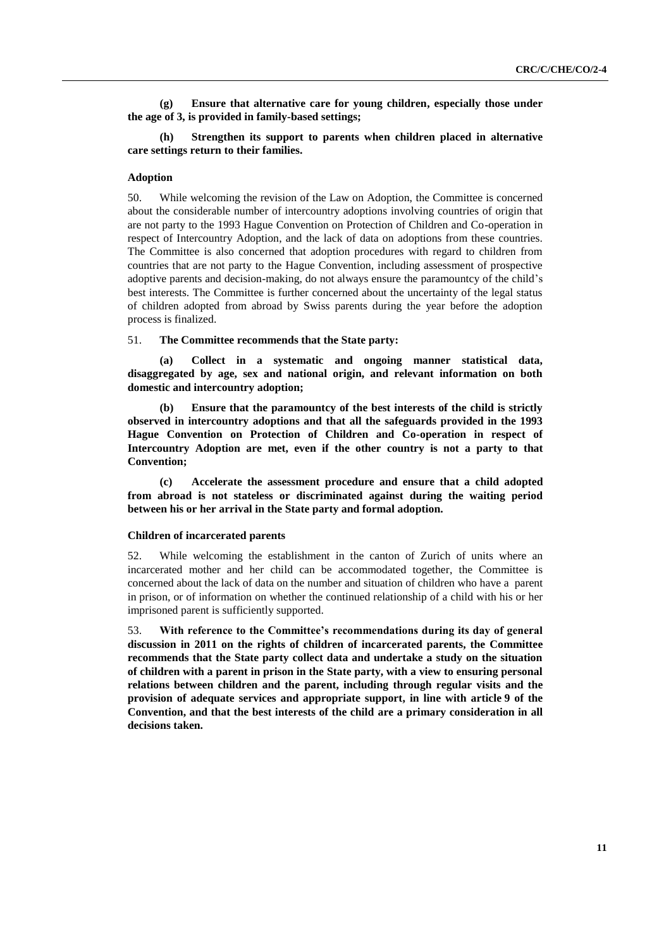**(g) Ensure that alternative care for young children, especially those under the age of 3, is provided in family-based settings;** 

# **(h) Strengthen its support to parents when children placed in alternative care settings return to their families.**

#### **Adoption**

50. While welcoming the revision of the Law on Adoption, the Committee is concerned about the considerable number of intercountry adoptions involving countries of origin that are not party to the 1993 Hague Convention on Protection of Children and Co-operation in respect of Intercountry Adoption, and the lack of data on adoptions from these countries. The Committee is also concerned that adoption procedures with regard to children from countries that are not party to the Hague Convention, including assessment of prospective adoptive parents and decision-making, do not always ensure the paramountcy of the child's best interests. The Committee is further concerned about the uncertainty of the legal status of children adopted from abroad by Swiss parents during the year before the adoption process is finalized.

## 51. **The Committee recommends that the State party:**

**(a) Collect in a systematic and ongoing manner statistical data, disaggregated by age, sex and national origin, and relevant information on both domestic and intercountry adoption;**

**(b) Ensure that the paramountcy of the best interests of the child is strictly observed in intercountry adoptions and that all the safeguards provided in the 1993 Hague Convention on Protection of Children and Co-operation in respect of Intercountry Adoption are met, even if the other country is not a party to that Convention;**

**(c) Accelerate the assessment procedure and ensure that a child adopted from abroad is not stateless or discriminated against during the waiting period between his or her arrival in the State party and formal adoption.**

## **Children of incarcerated parents**

52. While welcoming the establishment in the canton of Zurich of units where an incarcerated mother and her child can be accommodated together, the Committee is concerned about the lack of data on the number and situation of children who have a parent in prison, or of information on whether the continued relationship of a child with his or her imprisoned parent is sufficiently supported.

53. **With reference to the Committee's recommendations during its day of general discussion in 2011 on the rights of children of incarcerated parents, the Committee recommends that the State party collect data and undertake a study on the situation of children with a parent in prison in the State party, with a view to ensuring personal relations between children and the parent, including through regular visits and the provision of adequate services and appropriate support, in line with article 9 of the Convention, and that the best interests of the child are a primary consideration in all decisions taken.**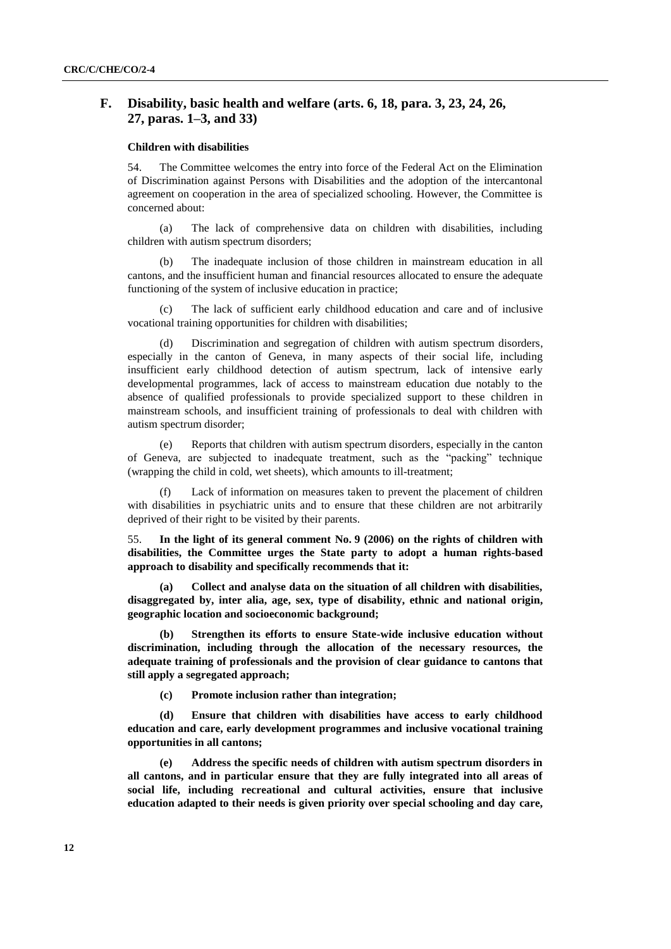# **F. Disability, basic health and welfare (arts. 6, 18, para. 3, 23, 24, 26, 27, paras. 1–3, and 33)**

### **Children with disabilities**

54. The Committee welcomes the entry into force of the Federal Act on the Elimination of Discrimination against Persons with Disabilities and the adoption of the intercantonal agreement on cooperation in the area of specialized schooling. However, the Committee is concerned about:

(a) The lack of comprehensive data on children with disabilities, including children with autism spectrum disorders;

(b) The inadequate inclusion of those children in mainstream education in all cantons, and the insufficient human and financial resources allocated to ensure the adequate functioning of the system of inclusive education in practice;

(c) The lack of sufficient early childhood education and care and of inclusive vocational training opportunities for children with disabilities;

(d) Discrimination and segregation of children with autism spectrum disorders, especially in the canton of Geneva, in many aspects of their social life, including insufficient early childhood detection of autism spectrum, lack of intensive early developmental programmes, lack of access to mainstream education due notably to the absence of qualified professionals to provide specialized support to these children in mainstream schools, and insufficient training of professionals to deal with children with autism spectrum disorder;

(e) Reports that children with autism spectrum disorders, especially in the canton of Geneva, are subjected to inadequate treatment, such as the "packing" technique (wrapping the child in cold, wet sheets), which amounts to ill-treatment;

Lack of information on measures taken to prevent the placement of children with disabilities in psychiatric units and to ensure that these children are not arbitrarily deprived of their right to be visited by their parents.

55. **In the light of its general comment No. 9 (2006) on the rights of children with disabilities, the Committee urges the State party to adopt a human rights-based approach to disability and specifically recommends that it:** 

**(a) Collect and analyse data on the situation of all children with disabilities, disaggregated by, inter alia, age, sex, type of disability, ethnic and national origin, geographic location and socioeconomic background;**

**(b) Strengthen its efforts to ensure State-wide inclusive education without discrimination, including through the allocation of the necessary resources, the adequate training of professionals and the provision of clear guidance to cantons that still apply a segregated approach;**

**(c) Promote inclusion rather than integration;**

**(d) Ensure that children with disabilities have access to early childhood education and care, early development programmes and inclusive vocational training opportunities in all cantons;**

**(e) Address the specific needs of children with autism spectrum disorders in all cantons, and in particular ensure that they are fully integrated into all areas of social life, including recreational and cultural activities, ensure that inclusive education adapted to their needs is given priority over special schooling and day care,**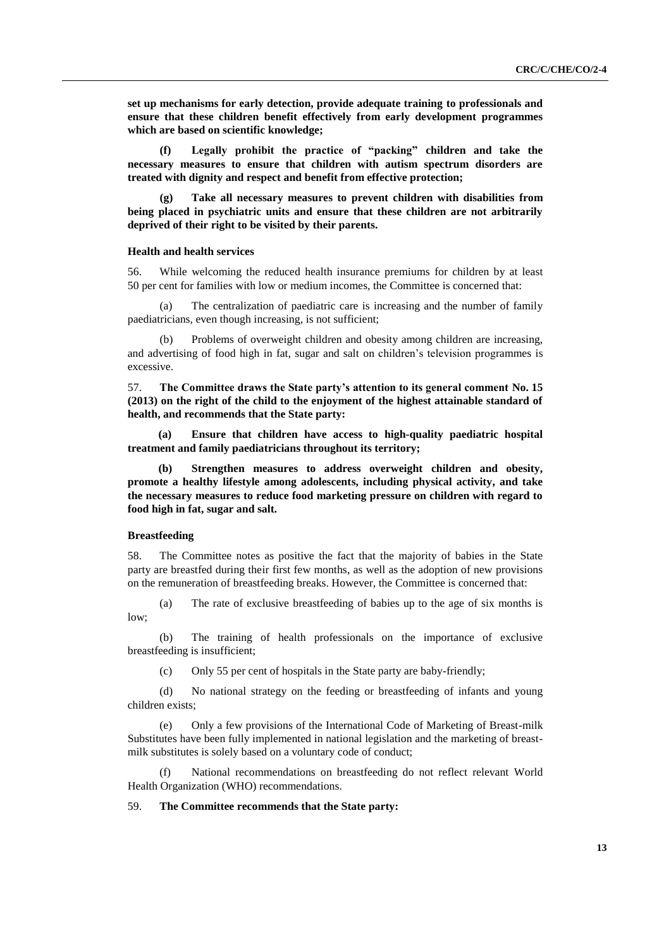**set up mechanisms for early detection, provide adequate training to professionals and ensure that these children benefit effectively from early development programmes which are based on scientific knowledge;** 

**(f) Legally prohibit the practice of "packing" children and take the necessary measures to ensure that children with autism spectrum disorders are treated with dignity and respect and benefit from effective protection;** 

**(g) Take all necessary measures to prevent children with disabilities from being placed in psychiatric units and ensure that these children are not arbitrarily deprived of their right to be visited by their parents.**

#### **Health and health services**

56. While welcoming the reduced health insurance premiums for children by at least 50 per cent for families with low or medium incomes, the Committee is concerned that:

(a) The centralization of paediatric care is increasing and the number of family paediatricians, even though increasing, is not sufficient;

Problems of overweight children and obesity among children are increasing, and advertising of food high in fat, sugar and salt on children's television programmes is excessive.

57. **The Committee draws the State party's attention to its general comment No. 15 (2013) on the right of the child to the enjoyment of the highest attainable standard of health, and recommends that the State party:**

**(a) Ensure that children have access to high-quality paediatric hospital treatment and family paediatricians throughout its territory;** 

**(b) Strengthen measures to address overweight children and obesity, promote a healthy lifestyle among adolescents, including physical activity, and take the necessary measures to reduce food marketing pressure on children with regard to food high in fat, sugar and salt.**

## **Breastfeeding**

58. The Committee notes as positive the fact that the majority of babies in the State party are breastfed during their first few months, as well as the adoption of new provisions on the remuneration of breastfeeding breaks. However, the Committee is concerned that:

(a) The rate of exclusive breastfeeding of babies up to the age of six months is low;

(b) The training of health professionals on the importance of exclusive breastfeeding is insufficient;

(c) Only 55 per cent of hospitals in the State party are baby-friendly;

(d) No national strategy on the feeding or breastfeeding of infants and young children exists;

(e) Only a few provisions of the International Code of Marketing of Breast-milk Substitutes have been fully implemented in national legislation and the marketing of breastmilk substitutes is solely based on a voluntary code of conduct;

(f) National recommendations on breastfeeding do not reflect relevant World Health Organization (WHO) recommendations.

# 59. **The Committee recommends that the State party:**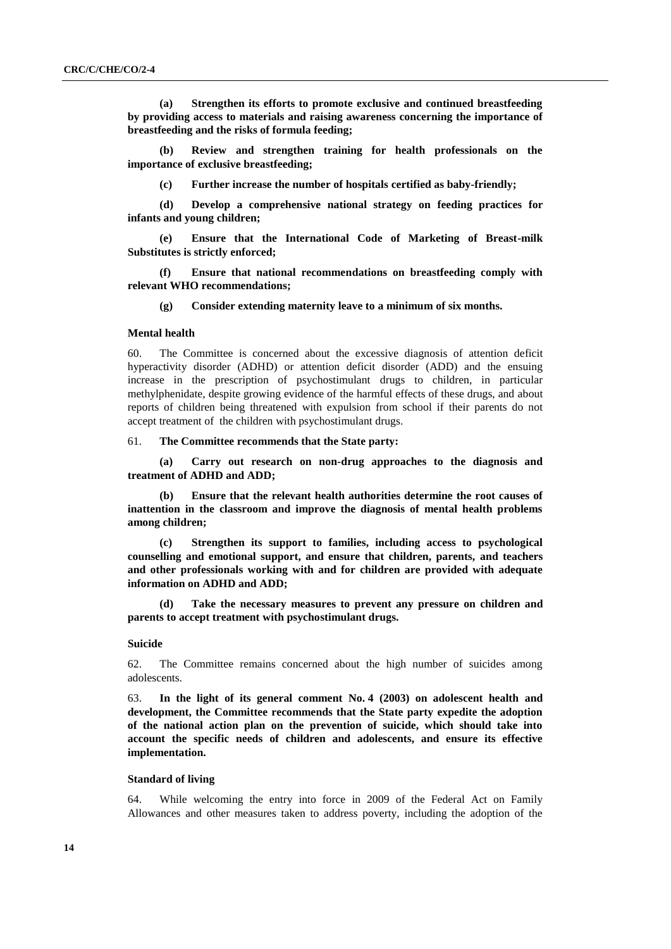**(a) Strengthen its efforts to promote exclusive and continued breastfeeding by providing access to materials and raising awareness concerning the importance of breastfeeding and the risks of formula feeding;**

**(b) Review and strengthen training for health professionals on the importance of exclusive breastfeeding;**

**(c) Further increase the number of hospitals certified as baby-friendly;**

**(d) Develop a comprehensive national strategy on feeding practices for infants and young children;**

**(e) Ensure that the International Code of Marketing of Breast-milk Substitutes is strictly enforced;** 

**(f) Ensure that national recommendations on breastfeeding comply with relevant WHO recommendations;** 

**(g) Consider extending maternity leave to a minimum of six months.**

#### **Mental health**

60. The Committee is concerned about the excessive diagnosis of attention deficit hyperactivity disorder (ADHD) or attention deficit disorder (ADD) and the ensuing increase in the prescription of psychostimulant drugs to children, in particular methylphenidate, despite growing evidence of the harmful effects of these drugs, and about reports of children being threatened with expulsion from school if their parents do not accept treatment of the children with psychostimulant drugs.

61. **The Committee recommends that the State party:**

**(a) Carry out research on non-drug approaches to the diagnosis and treatment of ADHD and ADD;** 

**(b) Ensure that the relevant health authorities determine the root causes of inattention in the classroom and improve the diagnosis of mental health problems among children;**

**(c) Strengthen its support to families, including access to psychological counselling and emotional support, and ensure that children, parents, and teachers and other professionals working with and for children are provided with adequate information on ADHD and ADD;** 

**(d) Take the necessary measures to prevent any pressure on children and parents to accept treatment with psychostimulant drugs.**

#### **Suicide**

62. The Committee remains concerned about the high number of suicides among adolescents.

63. **In the light of its general comment No. 4 (2003) on adolescent health and development, the Committee recommends that the State party expedite the adoption of the national action plan on the prevention of suicide, which should take into account the specific needs of children and adolescents, and ensure its effective implementation.**

#### **Standard of living**

64. While welcoming the entry into force in 2009 of the Federal Act on Family Allowances and other measures taken to address poverty, including the adoption of the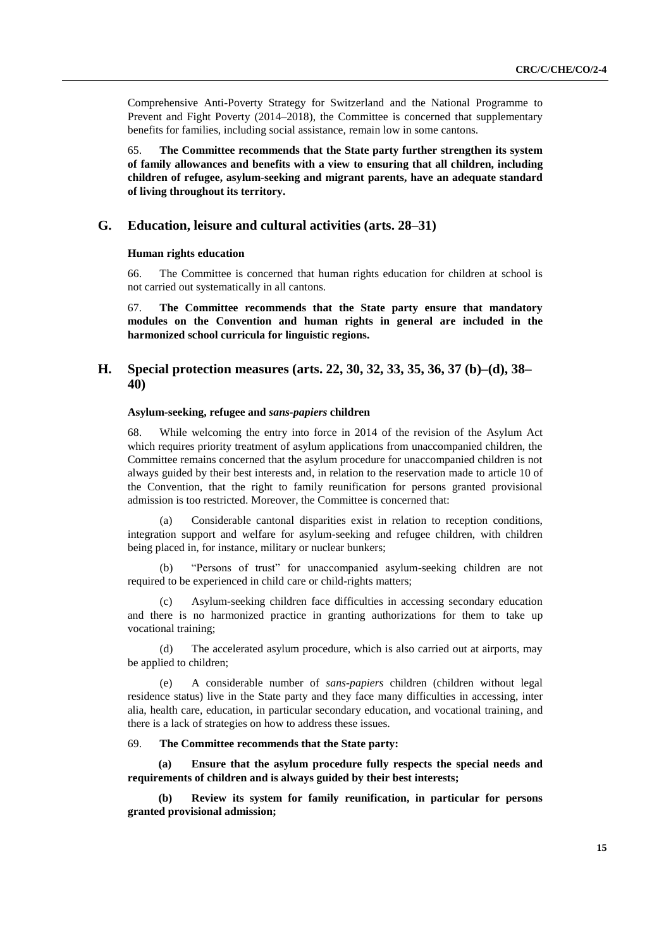Comprehensive Anti-Poverty Strategy for Switzerland and the National Programme to Prevent and Fight Poverty (2014–2018), the Committee is concerned that supplementary benefits for families, including social assistance, remain low in some cantons.

65. **The Committee recommends that the State party further strengthen its system of family allowances and benefits with a view to ensuring that all children, including children of refugee, asylum-seeking and migrant parents, have an adequate standard of living throughout its territory.**

# **G. Education, leisure and cultural activities (arts. 28–31)**

## **Human rights education**

66. The Committee is concerned that human rights education for children at school is not carried out systematically in all cantons.

67. **The Committee recommends that the State party ensure that mandatory modules on the Convention and human rights in general are included in the harmonized school curricula for linguistic regions.**

# **H. Special protection measures (arts. 22, 30, 32, 33, 35, 36, 37 (b)–(d), 38– 40)**

# **Asylum-seeking, refugee and** *sans-papiers* **children**

68. While welcoming the entry into force in 2014 of the revision of the Asylum Act which requires priority treatment of asylum applications from unaccompanied children, the Committee remains concerned that the asylum procedure for unaccompanied children is not always guided by their best interests and, in relation to the reservation made to article 10 of the Convention, that the right to family reunification for persons granted provisional admission is too restricted. Moreover, the Committee is concerned that:

(a) Considerable cantonal disparities exist in relation to reception conditions, integration support and welfare for asylum-seeking and refugee children, with children being placed in, for instance, military or nuclear bunkers;

(b) "Persons of trust" for unaccompanied asylum-seeking children are not required to be experienced in child care or child-rights matters;

(c) Asylum-seeking children face difficulties in accessing secondary education and there is no harmonized practice in granting authorizations for them to take up vocational training;

(d) The accelerated asylum procedure, which is also carried out at airports, may be applied to children;

(e) A considerable number of *sans-papiers* children (children without legal residence status) live in the State party and they face many difficulties in accessing, inter alia, health care, education, in particular secondary education, and vocational training, and there is a lack of strategies on how to address these issues.

#### 69. **The Committee recommends that the State party:**

**(a) Ensure that the asylum procedure fully respects the special needs and requirements of children and is always guided by their best interests;**

**(b) Review its system for family reunification, in particular for persons granted provisional admission;**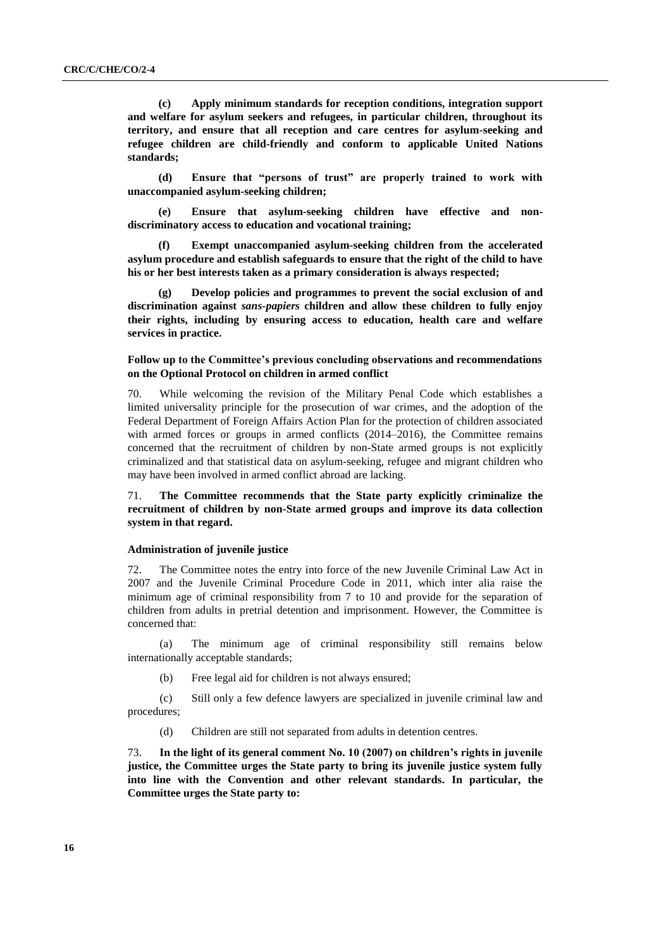**(c) Apply minimum standards for reception conditions, integration support and welfare for asylum seekers and refugees, in particular children, throughout its territory, and ensure that all reception and care centres for asylum-seeking and refugee children are child-friendly and conform to applicable United Nations standards;**

**(d) Ensure that "persons of trust" are properly trained to work with unaccompanied asylum-seeking children;**

**(e) Ensure that asylum-seeking children have effective and nondiscriminatory access to education and vocational training;** 

**(f) Exempt unaccompanied asylum-seeking children from the accelerated asylum procedure and establish safeguards to ensure that the right of the child to have his or her best interests taken as a primary consideration is always respected;** 

**(g) Develop policies and programmes to prevent the social exclusion of and discrimination against** *sans-papiers* **children and allow these children to fully enjoy their rights, including by ensuring access to education, health care and welfare services in practice.**

## **Follow up to the Committee's previous concluding observations and recommendations on the Optional Protocol on children in armed conflict**

70. While welcoming the revision of the Military Penal Code which establishes a limited universality principle for the prosecution of war crimes, and the adoption of the Federal Department of Foreign Affairs Action Plan for the protection of children associated with armed forces or groups in armed conflicts (2014–2016), the Committee remains concerned that the recruitment of children by non-State armed groups is not explicitly criminalized and that statistical data on asylum-seeking, refugee and migrant children who may have been involved in armed conflict abroad are lacking.

# 71. **The Committee recommends that the State party explicitly criminalize the recruitment of children by non-State armed groups and improve its data collection system in that regard.**

#### **Administration of juvenile justice**

72. The Committee notes the entry into force of the new Juvenile Criminal Law Act in 2007 and the Juvenile Criminal Procedure Code in 2011, which inter alia raise the minimum age of criminal responsibility from 7 to 10 and provide for the separation of children from adults in pretrial detention and imprisonment. However, the Committee is concerned that:

(a) The minimum age of criminal responsibility still remains below internationally acceptable standards;

(b) Free legal aid for children is not always ensured;

(c) Still only a few defence lawyers are specialized in juvenile criminal law and procedures;

(d) Children are still not separated from adults in detention centres.

73. **In the light of its general comment No. 10 (2007) on children's rights in juvenile justice, the Committee urges the State party to bring its juvenile justice system fully into line with the Convention and other relevant standards. In particular, the Committee urges the State party to:**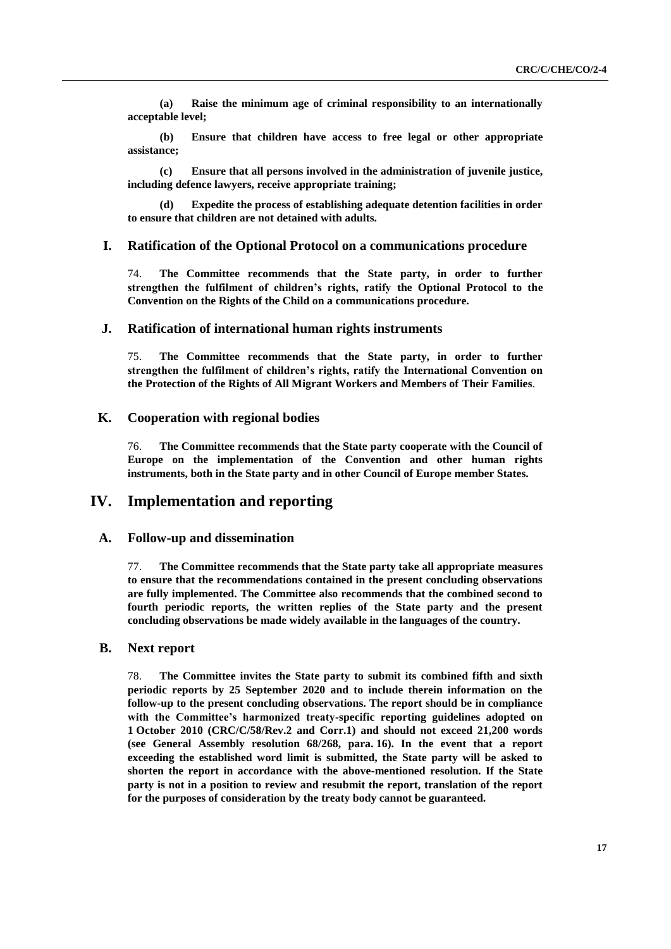**(a) Raise the minimum age of criminal responsibility to an internationally acceptable level;**

**(b) Ensure that children have access to free legal or other appropriate assistance;**

**(c) Ensure that all persons involved in the administration of juvenile justice, including defence lawyers, receive appropriate training;** 

**(d) Expedite the process of establishing adequate detention facilities in order to ensure that children are not detained with adults.**

## **I. Ratification of the Optional Protocol on a communications procedure**

74. **The Committee recommends that the State party, in order to further strengthen the fulfilment of children's rights, ratify the Optional Protocol to the Convention on the Rights of the Child on a communications procedure.** 

# **J. Ratification of international human rights instruments**

75. **The Committee recommends that the State party, in order to further strengthen the fulfilment of children's rights, ratify the International Convention on the Protection of the Rights of All Migrant Workers and Members of Their Families**.

# **K. Cooperation with regional bodies**

76. **The Committee recommends that the State party cooperate with the Council of Europe on the implementation of the Convention and other human rights instruments, both in the State party and in other Council of Europe member States.** 

# **IV. Implementation and reporting**

# **A. Follow-up and dissemination**

77. **The Committee recommends that the State party take all appropriate measures to ensure that the recommendations contained in the present concluding observations are fully implemented. The Committee also recommends that the combined second to fourth periodic reports, the written replies of the State party and the present concluding observations be made widely available in the languages of the country.**

# **B. Next report**

78. **The Committee invites the State party to submit its combined fifth and sixth periodic reports by 25 September 2020 and to include therein information on the follow-up to the present concluding observations. The report should be in compliance with the Committee's harmonized treaty-specific reporting guidelines adopted on 1 October 2010 (CRC/C/58/Rev.2 and Corr.1) and should not exceed 21,200 words (see General Assembly resolution 68/268, para. 16). In the event that a report exceeding the established word limit is submitted, the State party will be asked to shorten the report in accordance with the above-mentioned resolution. If the State party is not in a position to review and resubmit the report, translation of the report for the purposes of consideration by the treaty body cannot be guaranteed.**